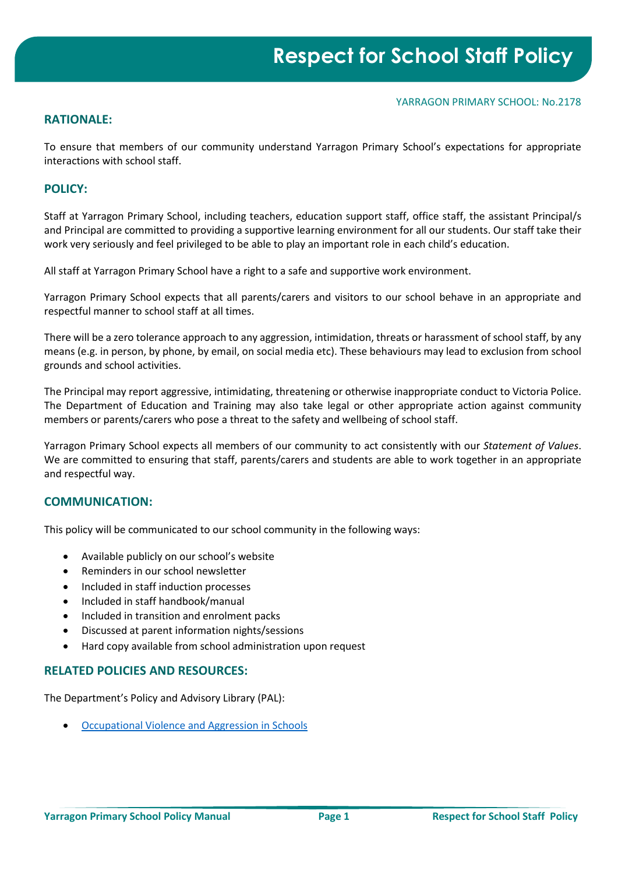#### YARRAGON PRIMARY SCHOOL: No.2178

## **RATIONALE:**

To ensure that members of our community understand Yarragon Primary School's expectations for appropriate interactions with school staff.

### **POLICY:**

Staff at Yarragon Primary School, including teachers, education support staff, office staff, the assistant Principal/s and Principal are committed to providing a supportive learning environment for all our students. Our staff take their work very seriously and feel privileged to be able to play an important role in each child's education.

All staff at Yarragon Primary School have a right to a safe and supportive work environment.

Yarragon Primary School expects that all parents/carers and visitors to our school behave in an appropriate and respectful manner to school staff at all times.

There will be a zero tolerance approach to any aggression, intimidation, threats or harassment of school staff, by any means (e.g. in person, by phone, by email, on social media etc). These behaviours may lead to exclusion from school grounds and school activities.

The Principal may report aggressive, intimidating, threatening or otherwise inappropriate conduct to Victoria Police. The Department of Education and Training may also take legal or other appropriate action against community members or parents/carers who pose a threat to the safety and wellbeing of school staff.

Yarragon Primary School expects all members of our community to act consistently with our *Statement of Values*. We are committed to ensuring that staff, parents/carers and students are able to work together in an appropriate and respectful way.

### **COMMUNICATION:**

This policy will be communicated to our school community in the following ways:

- Available publicly on our school's website
- Reminders in our school newsletter
- Included in staff induction processes
- Included in staff handbook/manual
- Included in transition and enrolment packs
- Discussed at parent information nights/sessions
- Hard copy available from school administration upon request

### **RELATED POLICIES AND RESOURCES:**

The Department's Policy and Advisory Library (PAL):

• [Occupational Violence and Aggression in Schools](https://www2.education.vic.gov.au/pal/occupational-violence-and-aggression-schools/policy)